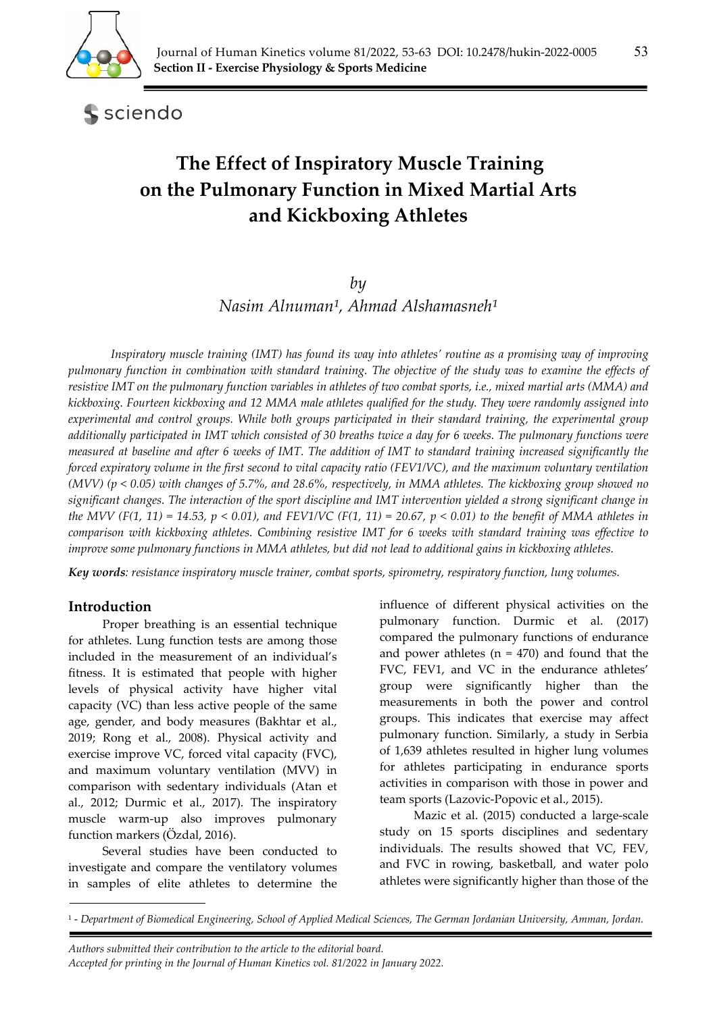

sciendo

# **The Effect of Inspiratory Muscle Training on the Pulmonary Function in Mixed Martial Arts and Kickboxing Athletes**

## *by*

*Nasim Alnuman<sup>1</sup>*, *Ahmad Alshamasneh<sup>1</sup>* 

*Inspiratory muscle training (IMT) has found its way into athletes' routine as a promising way of improving pulmonary function in combination with standard training. The objective of the study was to examine the effects of resistive IMT on the pulmonary function variables in athletes of two combat sports, i.e., mixed martial arts (MMA) and kickboxing. Fourteen kickboxing and 12 MMA male athletes qualified for the study. They were randomly assigned into experimental and control groups. While both groups participated in their standard training, the experimental group additionally participated in IMT which consisted of 30 breaths twice a day for 6 weeks. The pulmonary functions were measured at baseline and after 6 weeks of IMT. The addition of IMT to standard training increased significantly the forced expiratory volume in the first second to vital capacity ratio (FEV1/VC), and the maximum voluntary ventilation (MVV) (p < 0.05) with changes of 5.7%, and 28.6%, respectively, in MMA athletes. The kickboxing group showed no significant changes. The interaction of the sport discipline and IMT intervention yielded a strong significant change in the MVV (F(1, 11) = 14.53, p < 0.01), and FEV1/VC (F(1, 11) = 20.67, p < 0.01) to the benefit of MMA athletes in comparison with kickboxing athletes. Combining resistive IMT for 6 weeks with standard training was effective to improve some pulmonary functions in MMA athletes, but did not lead to additional gains in kickboxing athletes.* 

*Key words: resistance inspiratory muscle trainer, combat sports, spirometry, respiratory function, lung volumes.* 

# **Introduction**

Proper breathing is an essential technique for athletes. Lung function tests are among those included in the measurement of an individual's fitness. It is estimated that people with higher levels of physical activity have higher vital capacity (VC) than less active people of the same age, gender, and body measures (Bakhtar et al., 2019; Rong et al., 2008). Physical activity and exercise improve VC, forced vital capacity (FVC), and maximum voluntary ventilation (MVV) in comparison with sedentary individuals (Atan et al., 2012; Durmic et al., 2017). The inspiratory muscle warm-up also improves pulmonary function markers (Özdal, 2016).

Several studies have been conducted to investigate and compare the ventilatory volumes in samples of elite athletes to determine the influence of different physical activities on the pulmonary function. Durmic et al. (2017) compared the pulmonary functions of endurance and power athletes  $(n = 470)$  and found that the FVC, FEV1, and VC in the endurance athletes' group were significantly higher than the measurements in both the power and control groups. This indicates that exercise may affect pulmonary function. Similarly, a study in Serbia of 1,639 athletes resulted in higher lung volumes for athletes participating in endurance sports activities in comparison with those in power and team sports (Lazovic-Popovic et al., 2015).

Mazic et al. (2015) conducted a large-scale study on 15 sports disciplines and sedentary individuals. The results showed that VC, FEV, and FVC in rowing, basketball, and water polo athletes were significantly higher than those of the

 *Authors submitted their contribution to the article to the editorial board.* 

<sup>1 -</sup> *Department of Biomedical Engineering, School of Applied Medical Sciences, The German Jordanian University, Amman, Jordan.* 

*Accepted for printing in the Journal of Human Kinetics vol. 81/2022 in January 2022.*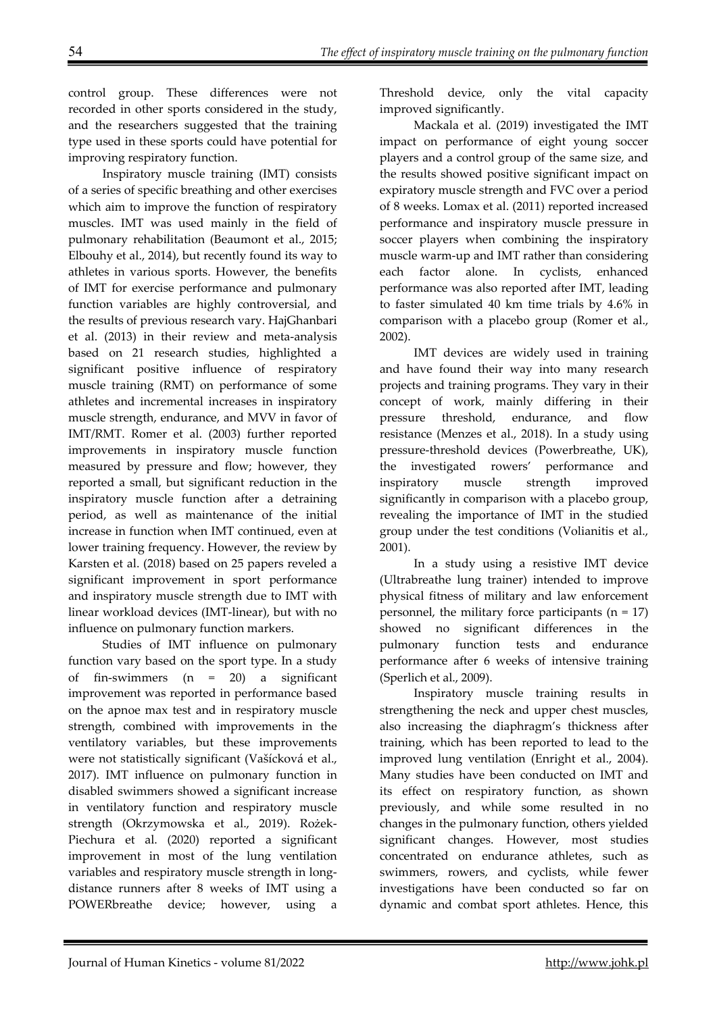control group. These differences were not recorded in other sports considered in the study, and the researchers suggested that the training type used in these sports could have potential for improving respiratory function.

Inspiratory muscle training (IMT) consists of a series of specific breathing and other exercises which aim to improve the function of respiratory muscles. IMT was used mainly in the field of pulmonary rehabilitation (Beaumont et al., 2015; Elbouhy et al., 2014), but recently found its way to athletes in various sports. However, the benefits of IMT for exercise performance and pulmonary function variables are highly controversial, and the results of previous research vary. HajGhanbari et al. (2013) in their review and meta-analysis based on 21 research studies, highlighted a significant positive influence of respiratory muscle training (RMT) on performance of some athletes and incremental increases in inspiratory muscle strength, endurance, and MVV in favor of IMT/RMT. Romer et al. (2003) further reported improvements in inspiratory muscle function measured by pressure and flow; however, they reported a small, but significant reduction in the inspiratory muscle function after a detraining period, as well as maintenance of the initial increase in function when IMT continued, even at lower training frequency. However, the review by Karsten et al. (2018) based on 25 papers reveled a significant improvement in sport performance and inspiratory muscle strength due to IMT with linear workload devices (IMT-linear), but with no influence on pulmonary function markers.

Studies of IMT influence on pulmonary function vary based on the sport type. In a study of fin-swimmers (n = 20) a significant improvement was reported in performance based on the apnoe max test and in respiratory muscle strength, combined with improvements in the ventilatory variables, but these improvements were not statistically significant (Vašícková et al., 2017). IMT influence on pulmonary function in disabled swimmers showed a significant increase in ventilatory function and respiratory muscle strength (Okrzymowska et al., 2019). Rożek-Piechura et al. (2020) reported a significant improvement in most of the lung ventilation variables and respiratory muscle strength in longdistance runners after 8 weeks of IMT using a POWERbreathe device; however, using a

Threshold device, only the vital capacity improved significantly.

Mackala et al. (2019) investigated the IMT impact on performance of eight young soccer players and a control group of the same size, and the results showed positive significant impact on expiratory muscle strength and FVC over a period of 8 weeks. Lomax et al. (2011) reported increased performance and inspiratory muscle pressure in soccer players when combining the inspiratory muscle warm-up and IMT rather than considering each factor alone. In cyclists, enhanced performance was also reported after IMT, leading to faster simulated 40 km time trials by 4.6% in comparison with a placebo group (Romer et al., 2002).

IMT devices are widely used in training and have found their way into many research projects and training programs. They vary in their concept of work, mainly differing in their pressure threshold, endurance, and flow resistance (Menzes et al., 2018). In a study using pressure-threshold devices (Powerbreathe, UK), the investigated rowers' performance and inspiratory muscle strength improved significantly in comparison with a placebo group, revealing the importance of IMT in the studied group under the test conditions (Volianitis et al., 2001).

In a study using a resistive IMT device (Ultrabreathe lung trainer) intended to improve physical fitness of military and law enforcement personnel, the military force participants  $(n = 17)$ showed no significant differences in the pulmonary function tests and endurance performance after 6 weeks of intensive training (Sperlich et al., 2009).

Inspiratory muscle training results in strengthening the neck and upper chest muscles, also increasing the diaphragm's thickness after training, which has been reported to lead to the improved lung ventilation (Enright et al., 2004). Many studies have been conducted on IMT and its effect on respiratory function, as shown previously, and while some resulted in no changes in the pulmonary function, others yielded significant changes. However, most studies concentrated on endurance athletes, such as swimmers, rowers, and cyclists, while fewer investigations have been conducted so far on dynamic and combat sport athletes. Hence, this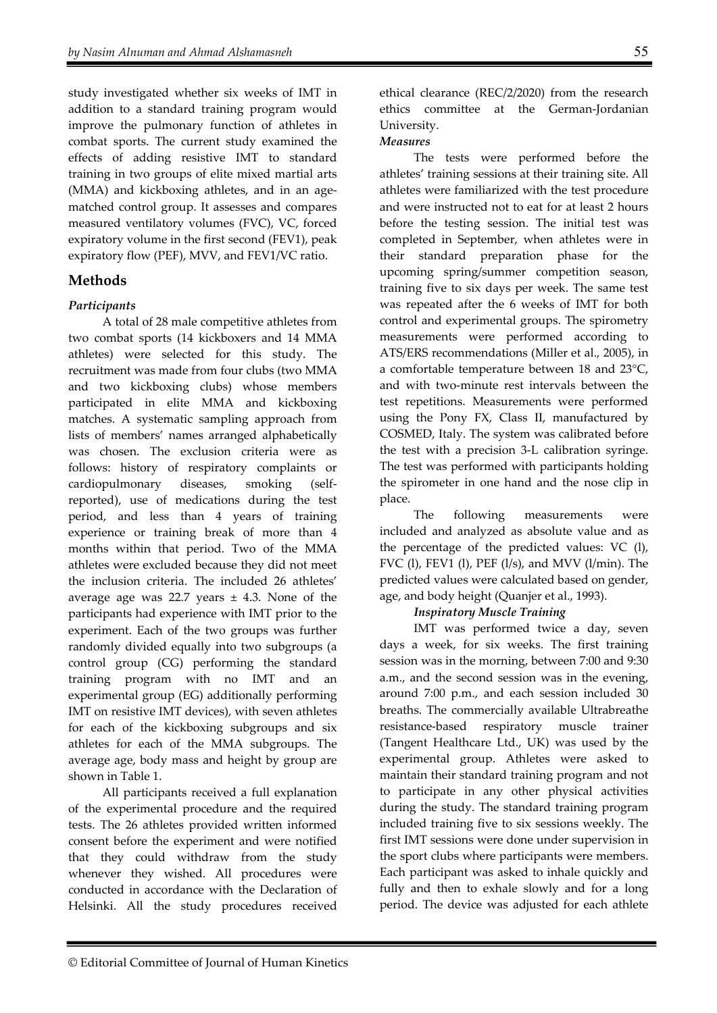study investigated whether six weeks of IMT in addition to a standard training program would improve the pulmonary function of athletes in combat sports. The current study examined the effects of adding resistive IMT to standard training in two groups of elite mixed martial arts (MMA) and kickboxing athletes, and in an agematched control group. It assesses and compares measured ventilatory volumes (FVC), VC, forced expiratory volume in the first second (FEV1), peak expiratory flow (PEF), MVV, and FEV1/VC ratio.

# **Methods**

### *Participants*

A total of 28 male competitive athletes from two combat sports (14 kickboxers and 14 MMA athletes) were selected for this study. The recruitment was made from four clubs (two MMA and two kickboxing clubs) whose members participated in elite MMA and kickboxing matches. A systematic sampling approach from lists of members' names arranged alphabetically was chosen. The exclusion criteria were as follows: history of respiratory complaints or cardiopulmonary diseases, smoking (selfreported), use of medications during the test period, and less than 4 years of training experience or training break of more than 4 months within that period. Two of the MMA athletes were excluded because they did not meet the inclusion criteria. The included 26 athletes' average age was 22.7 years  $\pm$  4.3. None of the participants had experience with IMT prior to the experiment. Each of the two groups was further randomly divided equally into two subgroups (a control group (CG) performing the standard training program with no IMT and an experimental group (EG) additionally performing IMT on resistive IMT devices), with seven athletes for each of the kickboxing subgroups and six athletes for each of the MMA subgroups. The average age, body mass and height by group are shown in Table 1.

All participants received a full explanation of the experimental procedure and the required tests. The 26 athletes provided written informed consent before the experiment and were notified that they could withdraw from the study whenever they wished. All procedures were conducted in accordance with the Declaration of Helsinki. All the study procedures received ethical clearance (REC/2/2020) from the research ethics committee at the German-Jordanian University.

#### *Measures*

The tests were performed before the athletes' training sessions at their training site. All athletes were familiarized with the test procedure and were instructed not to eat for at least 2 hours before the testing session. The initial test was completed in September, when athletes were in their standard preparation phase for the upcoming spring/summer competition season, training five to six days per week. The same test was repeated after the 6 weeks of IMT for both control and experimental groups. The spirometry measurements were performed according to ATS/ERS recommendations (Miller et al., 2005), in a comfortable temperature between 18 and 23°C, and with two-minute rest intervals between the test repetitions. Measurements were performed using the Pony FX, Class II, manufactured by COSMED, Italy. The system was calibrated before the test with a precision 3-L calibration syringe. The test was performed with participants holding the spirometer in one hand and the nose clip in place.

The following measurements were included and analyzed as absolute value and as the percentage of the predicted values: VC (l), FVC (1), FEV1 (1), PEF  $(l/s)$ , and MVV  $(l/min)$ . The predicted values were calculated based on gender, age, and body height (Quanjer et al., 1993).

### *Inspiratory Muscle Training*

IMT was performed twice a day, seven days a week, for six weeks. The first training session was in the morning, between 7:00 and 9:30 a.m., and the second session was in the evening, around 7:00 p.m., and each session included 30 breaths. The commercially available Ultrabreathe resistance-based respiratory muscle trainer (Tangent Healthcare Ltd., UK) was used by the experimental group. Athletes were asked to maintain their standard training program and not to participate in any other physical activities during the study. The standard training program included training five to six sessions weekly. The first IMT sessions were done under supervision in the sport clubs where participants were members. Each participant was asked to inhale quickly and fully and then to exhale slowly and for a long period. The device was adjusted for each athlete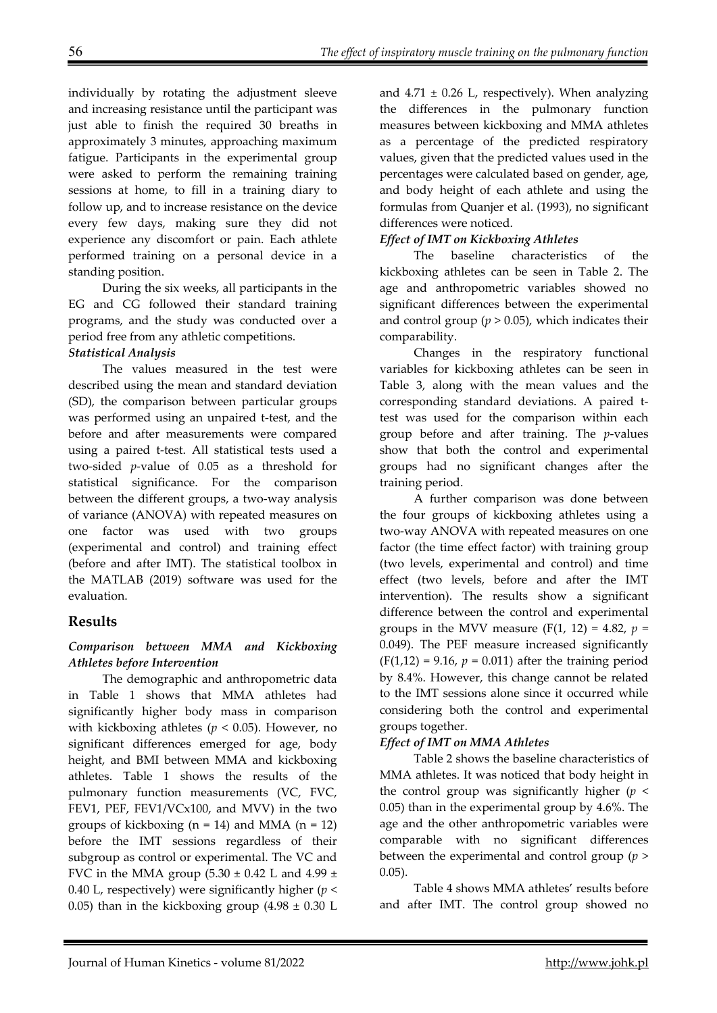individually by rotating the adjustment sleeve and increasing resistance until the participant was just able to finish the required 30 breaths in approximately 3 minutes, approaching maximum fatigue. Participants in the experimental group were asked to perform the remaining training sessions at home, to fill in a training diary to follow up, and to increase resistance on the device every few days, making sure they did not experience any discomfort or pain. Each athlete performed training on a personal device in a standing position.

During the six weeks, all participants in the EG and CG followed their standard training programs, and the study was conducted over a period free from any athletic competitions.

## *Statistical Analysis*

The values measured in the test were described using the mean and standard deviation (SD), the comparison between particular groups was performed using an unpaired t-test, and the before and after measurements were compared using a paired t-test. All statistical tests used a two-sided *p*-value of 0.05 as a threshold for statistical significance. For the comparison between the different groups, a two-way analysis of variance (ANOVA) with repeated measures on one factor was used with two groups (experimental and control) and training effect (before and after IMT). The statistical toolbox in the MATLAB (2019) software was used for the evaluation.

# **Results**

### *Comparison between MMA and Kickboxing Athletes before Intervention*

The demographic and anthropometric data in Table 1 shows that MMA athletes had significantly higher body mass in comparison with kickboxing athletes ( $p < 0.05$ ). However, no significant differences emerged for age, body height, and BMI between MMA and kickboxing athletes. Table 1 shows the results of the pulmonary function measurements (VC, FVC, FEV1, PEF, FEV1/VCx100, and MVV) in the two groups of kickboxing  $(n = 14)$  and MMA  $(n = 12)$ before the IMT sessions regardless of their subgroup as control or experimental. The VC and FVC in the MMA group  $(5.30 \pm 0.42)$  L and  $4.99 \pm 0.42$ 0.40 L, respectively) were significantly higher (*p* < 0.05) than in the kickboxing group  $(4.98 \pm 0.30)$  L

and  $4.71 \pm 0.26$  L, respectively). When analyzing the differences in the pulmonary function measures between kickboxing and MMA athletes as a percentage of the predicted respiratory values, given that the predicted values used in the percentages were calculated based on gender, age, and body height of each athlete and using the formulas from Quanjer et al. (1993), no significant differences were noticed.

### *Effect of IMT on Kickboxing Athletes*

The baseline characteristics of the kickboxing athletes can be seen in Table 2. The age and anthropometric variables showed no significant differences between the experimental and control group  $(p > 0.05)$ , which indicates their comparability.

Changes in the respiratory functional variables for kickboxing athletes can be seen in Table 3, along with the mean values and the corresponding standard deviations. A paired ttest was used for the comparison within each group before and after training. The *p*-values show that both the control and experimental groups had no significant changes after the training period.

A further comparison was done between the four groups of kickboxing athletes using a two-way ANOVA with repeated measures on one factor (the time effect factor) with training group (two levels, experimental and control) and time effect (two levels, before and after the IMT intervention). The results show a significant difference between the control and experimental groups in the MVV measure  $(F(1, 12) = 4.82, p =$ 0.049). The PEF measure increased significantly  $(F(1,12) = 9.16, p = 0.011)$  after the training period by 8.4%. However, this change cannot be related to the IMT sessions alone since it occurred while considering both the control and experimental groups together.

### *Effect of IMT on MMA Athletes*

Table 2 shows the baseline characteristics of MMA athletes. It was noticed that body height in the control group was significantly higher  $(p <$ 0.05) than in the experimental group by 4.6%. The age and the other anthropometric variables were comparable with no significant differences between the experimental and control group (*p* > 0.05).

Table 4 shows MMA athletes' results before and after IMT. The control group showed no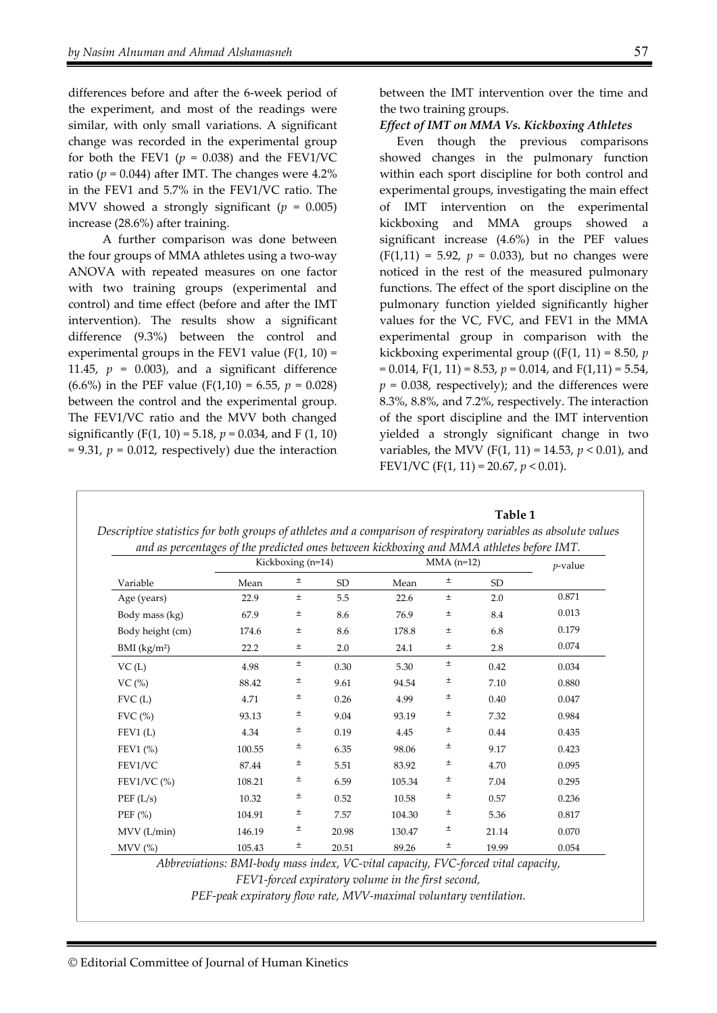differences before and after the 6-week period of the experiment, and most of the readings were similar, with only small variations. A significant change was recorded in the experimental group for both the FEV1 ( $p = 0.038$ ) and the FEV1/VC ratio ( $p = 0.044$ ) after IMT. The changes were  $4.2\%$ in the FEV1 and 5.7% in the FEV1/VC ratio. The MVV showed a strongly significant (*p* = 0.005) increase (28.6%) after training.

A further comparison was done between the four groups of MMA athletes using a two-way ANOVA with repeated measures on one factor with two training groups (experimental and control) and time effect (before and after the IMT intervention). The results show a significant difference (9.3%) between the control and experimental groups in the FEV1 value  $(F(1, 10) =$ 11.45,  $p = 0.003$ ), and a significant difference (6.6%) in the PEF value (F(1,10) = 6.55,  $p = 0.028$ ) between the control and the experimental group. The FEV1/VC ratio and the MVV both changed significantly (F(1, 10) = 5.18,  $p = 0.034$ , and F (1, 10)  $= 9.31$ ,  $p = 0.012$ , respectively) due the interaction

between the IMT intervention over the time and the two training groups.

*Effect of IMT on MMA Vs. Kickboxing Athletes* 

Even though the previous comparisons showed changes in the pulmonary function within each sport discipline for both control and experimental groups, investigating the main effect of IMT intervention on the experimental kickboxing and MMA groups showed a significant increase (4.6%) in the PEF values  $(F(1,11) = 5.92, p = 0.033)$ , but no changes were noticed in the rest of the measured pulmonary functions. The effect of the sport discipline on the pulmonary function yielded significantly higher values for the VC, FVC, and FEV1 in the MMA experimental group in comparison with the kickboxing experimental group ((F(1, 11) = 8.50, *p* = 0.014, F(1, 11) = 8.53, *p* = 0.014, and F(1,11) = 5.54,  $p = 0.038$ , respectively); and the differences were 8.3%, 8.8%, and 7.2%, respectively. The interaction of the sport discipline and the IMT intervention yielded a strongly significant change in two variables, the MVV (F(1, 11) = 14.53, *p* < 0.01), and FEV1/VC (F(1, 11) = 20.67, *p* < 0.01).

**Table 1** 

|                            | Kickboxing (n=14) |          |       | $MMA$ (n=12) |       |       | $p$ -value |
|----------------------------|-------------------|----------|-------|--------------|-------|-------|------------|
| Variable                   | Mean              | 土        | SD    | Mean         | $\pm$ | SD    |            |
| Age (years)                | 22.9              | $_{\pm}$ | 5.5   | 22.6         | $\pm$ | 2.0   | 0.871      |
| Body mass (kg)             | 67.9              | $_{\pm}$ | 8.6   | 76.9         | $\pm$ | 8.4   | 0.013      |
| Body height (cm)           | 174.6             | $_{\pm}$ | 8.6   | 178.8        | $\pm$ | 6.8   | 0.179      |
| $BMI$ (kg/m <sup>2</sup> ) | 22.2              | ±.       | 2.0   | 24.1         | ±     | 2.8   | 0.074      |
| VC(L)                      | 4.98              | $\pm$    | 0.30  | 5.30         | ±     | 0.42  | 0.034      |
| VC(%)                      | 88.42             | 土        | 9.61  | 94.54        | ±     | 7.10  | 0.880      |
| FVC(L)                     | 4.71              | 土        | 0.26  | 4.99         | ±     | 0.40  | 0.047      |
| $FVC$ $%$                  | 93.13             | 土        | 9.04  | 93.19        | ±     | 7.32  | 0.984      |
| FEV1(L)                    | 4.34              | ±        | 0.19  | 4.45         | ±     | 0.44  | 0.435      |
| FEV1 $(\% )$               | 100.55            | ±        | 6.35  | 98.06        | ±     | 9.17  | 0.423      |
| FEV1/VC                    | 87.44             | ±        | 5.51  | 83.92        | ±     | 4.70  | 0.095      |
| FEV1/VC $(\%)$             | 108.21            | ±        | 6.59  | 105.34       | ±     | 7.04  | 0.295      |
| PEF(L/s)                   | 10.32             | 土        | 0.52  | 10.58        | ±     | 0.57  | 0.236      |
| PEF $(\% )$                | 104.91            | 土        | 7.57  | 104.30       | ±     | 5.36  | 0.817      |
| MVV (L/min)                | 146.19            | ±        | 20.98 | 130.47       | ±     | 21.14 | 0.070      |
| MV (%)                     | 105.43            | ±        | 20.51 | 89.26        | ±     | 19.99 | 0.054      |

| Descriptive statistics for both groups of athletes and a comparison of respiratory variables as absolute values |  |
|-----------------------------------------------------------------------------------------------------------------|--|
| and ac newcantages of the predicted once hetereen kickhoxing and MMA athletec hetere IMT                        |  |

*Abbreviations: BMI-body mass index, VC-vital capacity, FVC-forced vital capacity,* 

*FEV1-forced expiratory volume in the first second,* 

*PEF-peak expiratory flow rate, MVV-maximal voluntary ventilation.*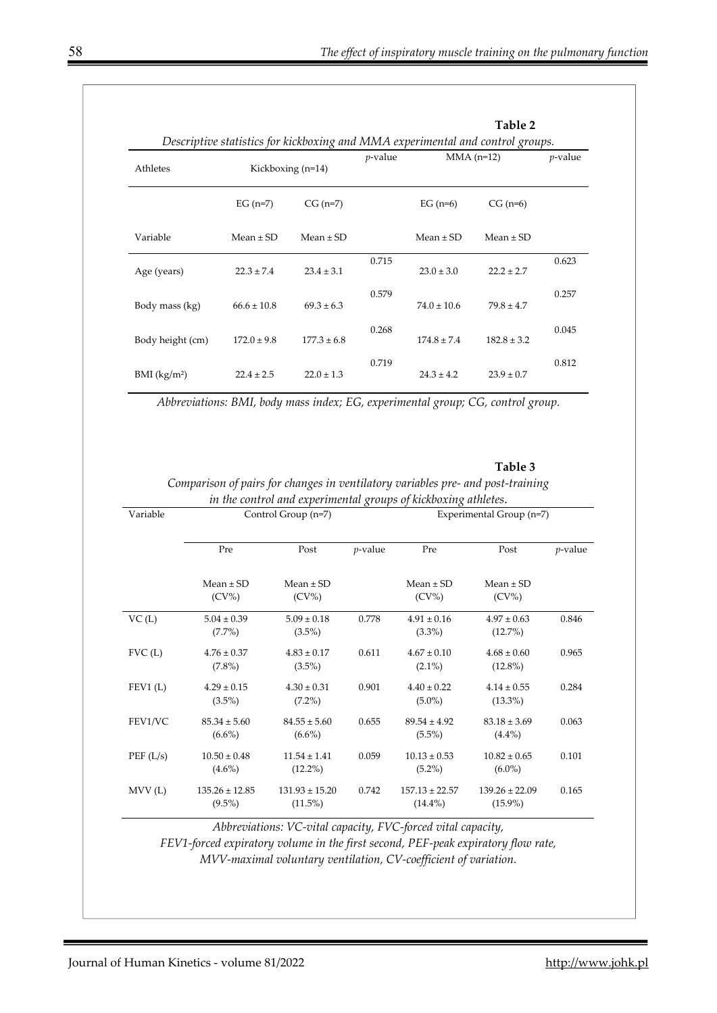| Athletes                   | Descriptive statistics for kickboxing and MMA experimental and control groups.<br>Kickboxing (n=14) |                 | <i>p</i> -value | $MMA$ (n=12)    |                 | <i>p</i> -value |
|----------------------------|-----------------------------------------------------------------------------------------------------|-----------------|-----------------|-----------------|-----------------|-----------------|
|                            | EG $(n=7)$                                                                                          | $CG (n=7)$      |                 | EG $(n=6)$      | $CG (n=6)$      |                 |
| Variable                   | Mean $\pm$ SD                                                                                       | Mean $\pm$ SD   |                 | Mean $\pm$ SD   | Mean $\pm$ SD   |                 |
| Age (years)                | $22.3 \pm 7.4$                                                                                      | $23.4 \pm 3.1$  | 0.715           | $23.0 \pm 3.0$  | $22.2 \pm 2.7$  | 0.623           |
| Body mass (kg)             | $66.6 \pm 10.8$                                                                                     | $69.3 \pm 6.3$  | 0.579           | $74.0 \pm 10.6$ | $79.8 \pm 4.7$  | 0.257           |
| Body height (cm)           | $172.0 \pm 9.8$                                                                                     | $177.3 \pm 6.8$ | 0.268           | $174.8 \pm 7.4$ | $182.8 \pm 3.2$ | 0.045           |
| $BMI$ (kg/m <sup>2</sup> ) | $224 + 25$                                                                                          | $22.0 \pm 1.3$  | 0.719           | $24.3 \pm 4.2$  | $23.9 \pm 0.7$  | 0.812           |

*Abbreviations: BMI, body mass index; EG, experimental group; CG, control group.* 

#### **Table 3**

| Variable |                                 | Control Group (n=7)              | Experimental Group (n=7) |                                  |                                  |            |  |
|----------|---------------------------------|----------------------------------|--------------------------|----------------------------------|----------------------------------|------------|--|
|          | Pre                             | Post                             | $p$ -value               | Pre                              | Post                             | $p$ -value |  |
|          | $Mean \pm SD$<br>$(CV\%)$       | $Mean \pm SD$<br>$(CV\%)$        |                          | $Mean \pm SD$<br>$(CV\%)$        | Mean $\pm$ SD<br>$(CV\%)$        |            |  |
| VC(L)    | $5.04 \pm 0.39$<br>$(7.7\%)$    | $5.09 \pm 0.18$<br>$(3.5\%)$     | 0.778                    | $4.91 \pm 0.16$<br>$(3.3\%)$     | $4.97 \pm 0.63$<br>$(12.7\%)$    | 0.846      |  |
| FVC(L)   | $4.76 \pm 0.37$<br>$(7.8\%)$    | $4.83 \pm 0.17$<br>$(3.5\%)$     | 0.611                    | $4.67 \pm 0.10$<br>$(2.1\%)$     | $4.68 \pm 0.60$<br>$(12.8\%)$    | 0.965      |  |
| FEV1(L)  | $4.29 \pm 0.15$<br>$(3.5\%)$    | $4.30 \pm 0.31$<br>$(7.2\%)$     | 0.901                    | $4.40 \pm 0.22$<br>$(5.0\%)$     | $4.14 \pm 0.55$<br>$(13.3\%)$    | 0.284      |  |
| FEV1/VC  | $85.34 \pm 5.60$<br>$(6.6\%)$   | $84.55 \pm 5.60$<br>$(6.6\%)$    | 0.655                    | $89.54 \pm 4.92$<br>$(5.5\%)$    | $83.18 \pm 3.69$<br>$(4.4\%)$    | 0.063      |  |
| PEF(L/s) | $10.50 \pm 0.48$<br>$(4.6\%)$   | $11.54 \pm 1.41$<br>$(12.2\%)$   | 0.059                    | $10.13 \pm 0.53$<br>$(5.2\%)$    | $10.82 \pm 0.65$<br>$(6.0\%)$    | 0.101      |  |
| MVV(L)   | $135.26 \pm 12.85$<br>$(9.5\%)$ | $131.93 \pm 15.20$<br>$(11.5\%)$ | 0.742                    | $157.13 \pm 22.57$<br>$(14.4\%)$ | $139.26 \pm 22.09$<br>$(15.9\%)$ | 0.165      |  |

*Comparison of pairs for changes in ventilatory variables pre- and post-training in the control and experimental groups of kickboxing athlet* 

*Abbreviations: VC-vital capacity, FVC-forced vital capacity,* 

*FEV1-forced expiratory volume in the first second, PEF-peak expiratory flow rate, MVV-maximal voluntary ventilation, CV-coefficient of variation.*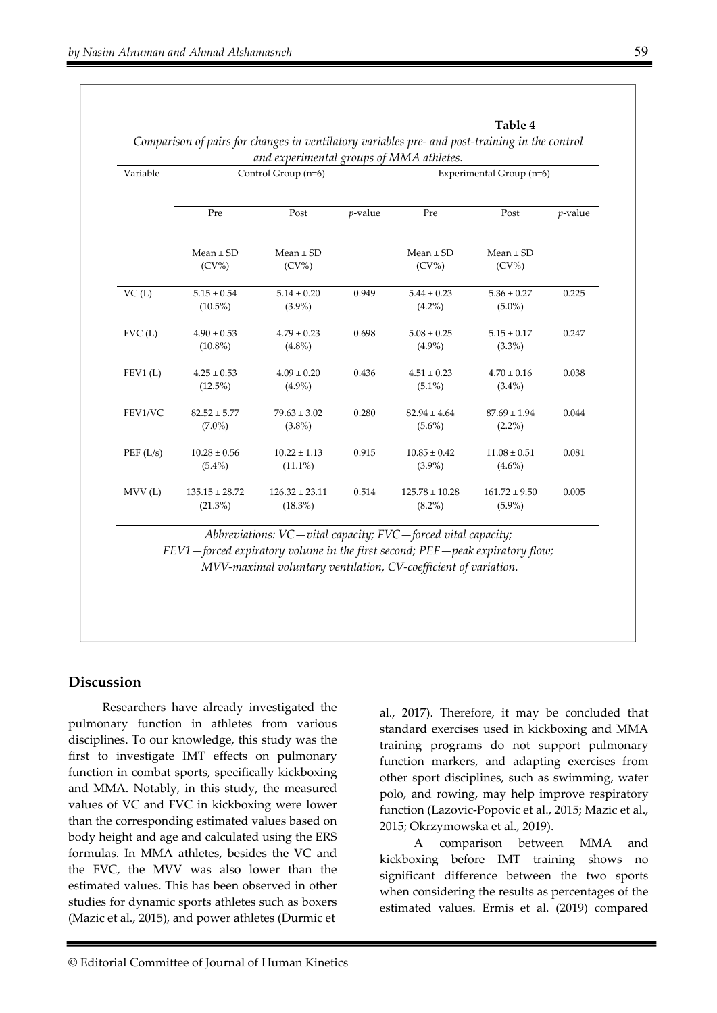| Variable            |                               | Control Group (n=6)              | and experimental groups of MMA athletes.<br>Experimental Group (n=6) |                                 |                                |            |
|---------------------|-------------------------------|----------------------------------|----------------------------------------------------------------------|---------------------------------|--------------------------------|------------|
|                     | Pre                           | Post                             | $p$ -value                                                           | Pre                             | Post                           | $p$ -value |
|                     | $Mean \pm SD$<br>$(CV\%)$     | $Mean \pm SD$<br>$(CV\%)$        |                                                                      | $Mean \pm SD$<br>$(CV\%)$       | $Mean \pm SD$<br>$(CV\%)$      |            |
| VC(L)               | $5.15 \pm 0.54$<br>$(10.5\%)$ | $5.14 \pm 0.20$<br>$(3.9\%)$     | 0.949                                                                | $5.44 \pm 0.23$<br>$(4.2\%)$    | $5.36 \pm 0.27$<br>$(5.0\%)$   | 0.225      |
| FVC(L)              | $4.90 \pm 0.53$<br>$(10.8\%)$ | $4.79 \pm 0.23$<br>$(4.8\%)$     | 0.698                                                                | $5.08 \pm 0.25$<br>$(4.9\%)$    | $5.15 \pm 0.17$<br>$(3.3\%)$   | 0.247      |
| FEV1(L)             | $4.25 \pm 0.53$<br>$(12.5\%)$ | $4.09 \pm 0.20$<br>$(4.9\%)$     | 0.436                                                                | $4.51 \pm 0.23$<br>$(5.1\%)$    | $4.70 \pm 0.16$<br>$(3.4\%)$   | 0.038      |
| FEV1/VC             | $82.52 \pm 5.77$<br>$(7.0\%)$ | $79.63 \pm 3.02$<br>$(3.8\%)$    | 0.280                                                                | $82.94 \pm 4.64$<br>$(5.6\%)$   | $87.69 \pm 1.94$<br>$(2.2\%)$  | 0.044      |
| PEF(L/s)            | $10.28 \pm 0.56$<br>$(5.4\%)$ | $10.22 \pm 1.13$<br>$(11.1\%)$   | 0.915                                                                | $10.85 \pm 0.42$<br>$(3.9\%)$   | $11.08 \pm 0.51$<br>$(4.6\%)$  | 0.081      |
| MV <sub>U</sub> (L) | $135.15 \pm 28.72$<br>(21.3%) | $126.32 \pm 23.11$<br>$(18.3\%)$ | 0.514                                                                | $125.78 \pm 10.28$<br>$(8.2\%)$ | $161.72 \pm 9.50$<br>$(5.9\%)$ | 0.005      |

*Comparison of pairs for changes in ventilatory variables pre- and post-training in the control* 

### **Discussion**

Researchers have already investigated the pulmonary function in athletes from various disciplines. To our knowledge, this study was the first to investigate IMT effects on pulmonary function in combat sports, specifically kickboxing and MMA. Notably, in this study, the measured values of VC and FVC in kickboxing were lower than the corresponding estimated values based on body height and age and calculated using the ERS formulas. In MMA athletes, besides the VC and the FVC, the MVV was also lower than the estimated values. This has been observed in other studies for dynamic sports athletes such as boxers (Mazic et al., 2015), and power athletes (Durmic et

al., 2017). Therefore, it may be concluded that standard exercises used in kickboxing and MMA training programs do not support pulmonary function markers, and adapting exercises from other sport disciplines, such as swimming, water polo, and rowing, may help improve respiratory function (Lazovic-Popovic et al., 2015; Mazic et al., 2015; Okrzymowska et al., 2019).

**Table 4** 

A comparison between MMA and kickboxing before IMT training shows no significant difference between the two sports when considering the results as percentages of the estimated values. Ermis et al. (2019) compared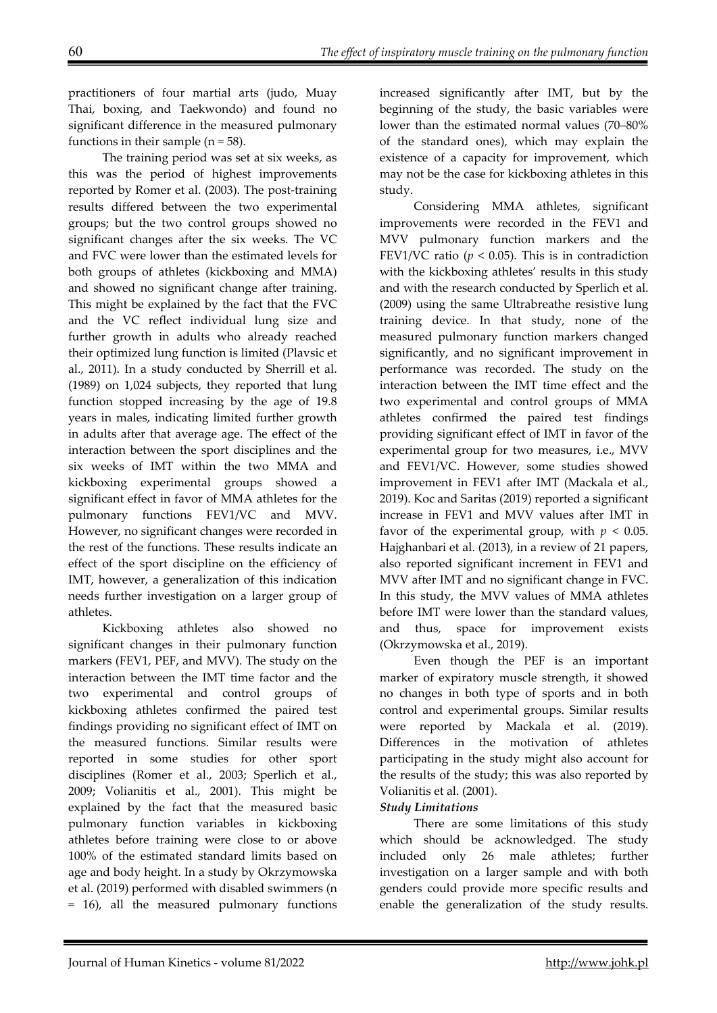practitioners of four martial arts (judo, Muay Thai, boxing, and Taekwondo) and found no significant difference in the measured pulmonary functions in their sample ( $n = 58$ ).

The training period was set at six weeks, as this was the period of highest improvements reported by Romer et al. (2003). The post-training results differed between the two experimental groups; but the two control groups showed no significant changes after the six weeks. The VC and FVC were lower than the estimated levels for both groups of athletes (kickboxing and MMA) and showed no significant change after training. This might be explained by the fact that the FVC and the VC reflect individual lung size and further growth in adults who already reached their optimized lung function is limited (Plavsic et al., 2011). In a study conducted by Sherrill et al. (1989) on 1,024 subjects, they reported that lung function stopped increasing by the age of 19.8 years in males, indicating limited further growth in adults after that average age. The effect of the interaction between the sport disciplines and the six weeks of IMT within the two MMA and kickboxing experimental groups showed a significant effect in favor of MMA athletes for the pulmonary functions FEV1/VC and MVV. However, no significant changes were recorded in the rest of the functions. These results indicate an effect of the sport discipline on the efficiency of IMT, however, a generalization of this indication needs further investigation on a larger group of athletes.

Kickboxing athletes also showed no significant changes in their pulmonary function markers (FEV1, PEF, and MVV). The study on the interaction between the IMT time factor and the two experimental and control groups of kickboxing athletes confirmed the paired test findings providing no significant effect of IMT on the measured functions. Similar results were reported in some studies for other sport disciplines (Romer et al., 2003; Sperlich et al., 2009; Volianitis et al., 2001). This might be explained by the fact that the measured basic pulmonary function variables in kickboxing athletes before training were close to or above 100% of the estimated standard limits based on age and body height. In a study by Okrzymowska et al. (2019) performed with disabled swimmers (n = 16), all the measured pulmonary functions

increased significantly after IMT, but by the beginning of the study, the basic variables were lower than the estimated normal values (70–80% of the standard ones), which may explain the existence of a capacity for improvement, which may not be the case for kickboxing athletes in this study.

Considering MMA athletes, significant improvements were recorded in the FEV1 and MVV pulmonary function markers and the FEV1/VC ratio ( $p < 0.05$ ). This is in contradiction with the kickboxing athletes' results in this study and with the research conducted by Sperlich et al. (2009) using the same Ultrabreathe resistive lung training device. In that study, none of the measured pulmonary function markers changed significantly, and no significant improvement in performance was recorded. The study on the interaction between the IMT time effect and the two experimental and control groups of MMA athletes confirmed the paired test findings providing significant effect of IMT in favor of the experimental group for two measures, i.e., MVV and FEV1/VC. However, some studies showed improvement in FEV1 after IMT (Mackala et al., 2019). Koc and Saritas (2019) reported a significant increase in FEV1 and MVV values after IMT in favor of the experimental group, with  $p < 0.05$ . Hajghanbari et al. (2013), in a review of 21 papers, also reported significant increment in FEV1 and MVV after IMT and no significant change in FVC. In this study, the MVV values of MMA athletes before IMT were lower than the standard values, and thus, space for improvement exists (Okrzymowska et al., 2019).

Even though the PEF is an important marker of expiratory muscle strength, it showed no changes in both type of sports and in both control and experimental groups. Similar results were reported by Mackala et al. (2019). Differences in the motivation of athletes participating in the study might also account for the results of the study; this was also reported by Volianitis et al. (2001).

### *Study Limitations*

There are some limitations of this study which should be acknowledged. The study included only 26 male athletes; further investigation on a larger sample and with both genders could provide more specific results and enable the generalization of the study results.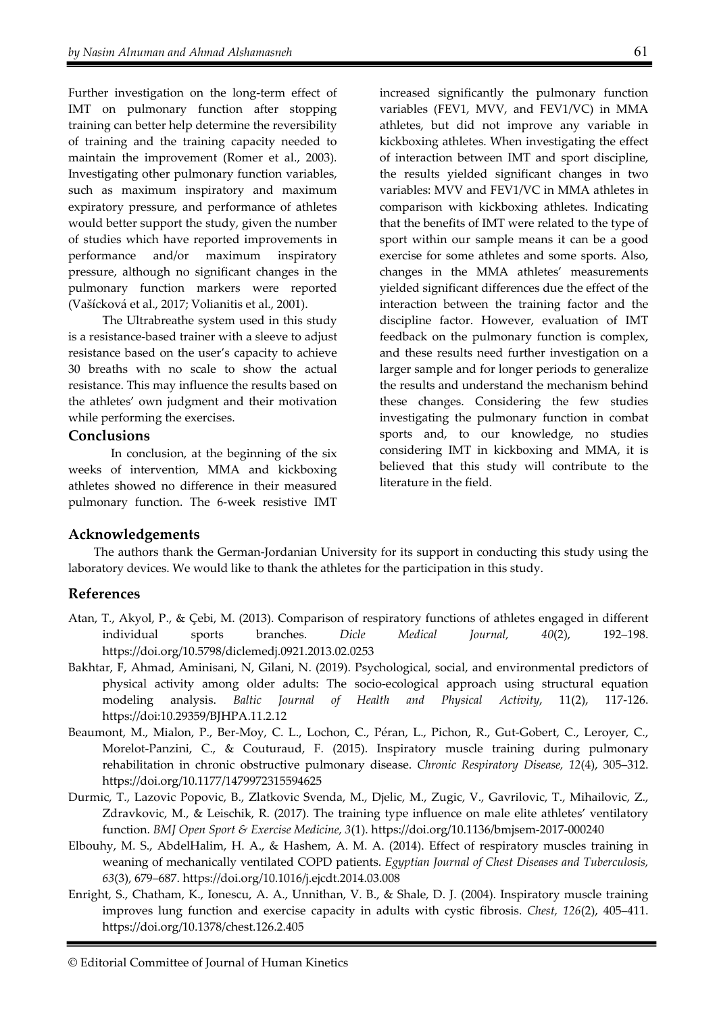Further investigation on the long-term effect of IMT on pulmonary function after stopping training can better help determine the reversibility of training and the training capacity needed to maintain the improvement (Romer et al., 2003). Investigating other pulmonary function variables, such as maximum inspiratory and maximum expiratory pressure, and performance of athletes would better support the study, given the number of studies which have reported improvements in performance and/or maximum inspiratory pressure, although no significant changes in the pulmonary function markers were reported (Vašícková et al., 2017; Volianitis et al., 2001).

The Ultrabreathe system used in this study is a resistance-based trainer with a sleeve to adjust resistance based on the user's capacity to achieve 30 breaths with no scale to show the actual resistance. This may influence the results based on the athletes' own judgment and their motivation while performing the exercises.

#### **Conclusions**

In conclusion, at the beginning of the six weeks of intervention, MMA and kickboxing athletes showed no difference in their measured pulmonary function. The 6-week resistive IMT

increased significantly the pulmonary function variables (FEV1, MVV, and FEV1/VC) in MMA athletes, but did not improve any variable in kickboxing athletes. When investigating the effect of interaction between IMT and sport discipline, the results yielded significant changes in two variables: MVV and FEV1/VC in MMA athletes in comparison with kickboxing athletes. Indicating that the benefits of IMT were related to the type of sport within our sample means it can be a good exercise for some athletes and some sports. Also, changes in the MMA athletes' measurements yielded significant differences due the effect of the interaction between the training factor and the discipline factor. However, evaluation of IMT feedback on the pulmonary function is complex, and these results need further investigation on a larger sample and for longer periods to generalize the results and understand the mechanism behind these changes. Considering the few studies investigating the pulmonary function in combat sports and, to our knowledge, no studies considering IMT in kickboxing and MMA, it is believed that this study will contribute to the literature in the field.

### **Acknowledgements**

The authors thank the German-Jordanian University for its support in conducting this study using the laboratory devices. We would like to thank the athletes for the participation in this study.

### **References**

- Atan, T., Akyol, P., & Çebi, M. (2013). Comparison of respiratory functions of athletes engaged in different individual sports branches. *Dicle Medical Journal, 40*(2), 192–198. https://doi.org/10.5798/diclemedj.0921.2013.02.0253
- Bakhtar, F, Ahmad, Aminisani, N, Gilani, N. (2019). Psychological, social, and environmental predictors of physical activity among older adults: The socio-ecological approach using structural equation modeling analysis. *Baltic Journal of Health and Physical Activity*, 11(2), 117-126. https://doi:10.29359/BJHPA.11.2.12
- Beaumont, M., Mialon, P., Ber-Moy, C. L., Lochon, C., Péran, L., Pichon, R., Gut-Gobert, C., Leroyer, C., Morelot-Panzini, C., & Couturaud, F. (2015). Inspiratory muscle training during pulmonary rehabilitation in chronic obstructive pulmonary disease. *Chronic Respiratory Disease, 12*(4), 305–312. https://doi.org/10.1177/1479972315594625
- Durmic, T., Lazovic Popovic, B., Zlatkovic Svenda, M., Djelic, M., Zugic, V., Gavrilovic, T., Mihailovic, Z., Zdravkovic, M., & Leischik, R. (2017). The training type influence on male elite athletes' ventilatory function. *BMJ Open Sport & Exercise Medicine, 3*(1). https://doi.org/10.1136/bmjsem-2017-000240
- Elbouhy, M. S., AbdelHalim, H. A., & Hashem, A. M. A. (2014). Effect of respiratory muscles training in weaning of mechanically ventilated COPD patients. *Egyptian Journal of Chest Diseases and Tuberculosis, 63*(3), 679–687. https://doi.org/10.1016/j.ejcdt.2014.03.008
- Enright, S., Chatham, K., Ionescu, A. A., Unnithan, V. B., & Shale, D. J. (2004). Inspiratory muscle training improves lung function and exercise capacity in adults with cystic fibrosis. *Chest, 126*(2), 405–411. https://doi.org/10.1378/chest.126.2.405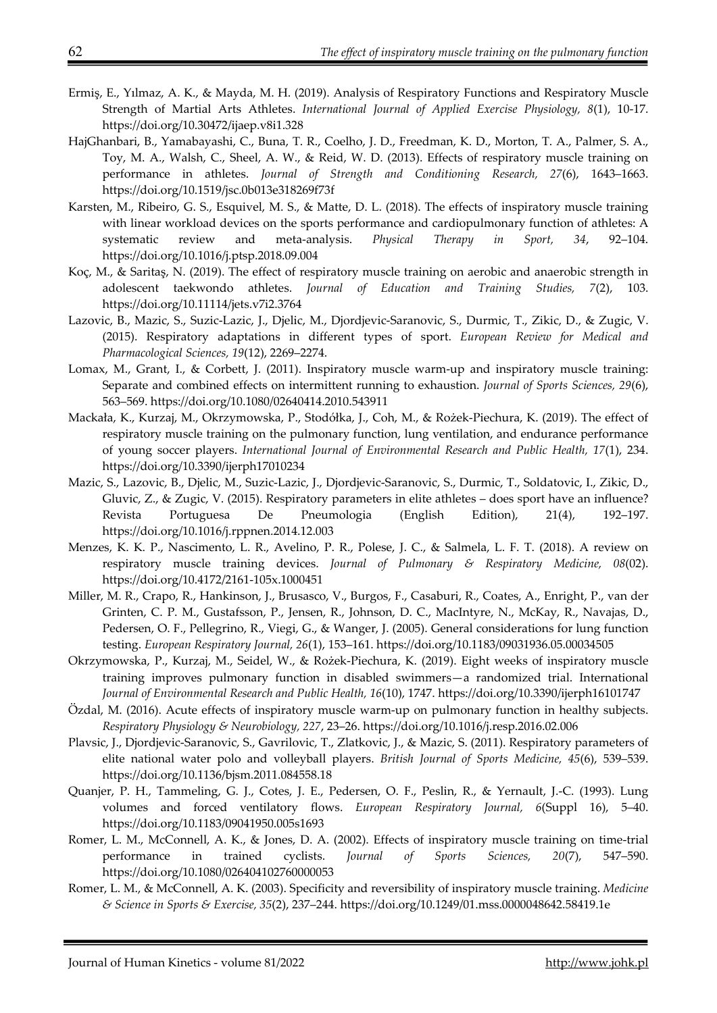- Ermiş, E., Yılmaz, A. K., & Mayda, M. H. (2019). Analysis of Respiratory Functions and Respiratory Muscle Strength of Martial Arts Athletes. *International Journal of Applied Exercise Physiology, 8*(1), 10-17. https://doi.org/10.30472/ijaep.v8i1.328
- HajGhanbari, B., Yamabayashi, C., Buna, T. R., Coelho, J. D., Freedman, K. D., Morton, T. A., Palmer, S. A., Toy, M. A., Walsh, C., Sheel, A. W., & Reid, W. D. (2013). Effects of respiratory muscle training on performance in athletes. *Journal of Strength and Conditioning Research, 27*(6), 1643–1663. https://doi.org/10.1519/jsc.0b013e318269f73f
- Karsten, M., Ribeiro, G. S., Esquivel, M. S., & Matte, D. L. (2018). The effects of inspiratory muscle training with linear workload devices on the sports performance and cardiopulmonary function of athletes: A systematic review and meta-analysis. *Physical Therapy in Sport, 34*, 92–104. https://doi.org/10.1016/j.ptsp.2018.09.004
- Koç, M., & Saritaş, N. (2019). The effect of respiratory muscle training on aerobic and anaerobic strength in adolescent taekwondo athletes. *Journal of Education and Training Studies, 7*(2), 103. https://doi.org/10.11114/jets.v7i2.3764
- Lazovic, B., Mazic, S., Suzic-Lazic, J., Djelic, M., Djordjevic-Saranovic, S., Durmic, T., Zikic, D., & Zugic, V. (2015). Respiratory adaptations in different types of sport. *European Review for Medical and Pharmacological Sciences, 19*(12), 2269–2274.
- Lomax, M., Grant, I., & Corbett, J. (2011). Inspiratory muscle warm-up and inspiratory muscle training: Separate and combined effects on intermittent running to exhaustion. *Journal of Sports Sciences, 29*(6), 563–569. https://doi.org/10.1080/02640414.2010.543911
- Mackała, K., Kurzaj, M., Okrzymowska, P., Stodółka, J., Coh, M., & Rożek-Piechura, K. (2019). The effect of respiratory muscle training on the pulmonary function, lung ventilation, and endurance performance of young soccer players. *International Journal of Environmental Research and Public Health, 17*(1), 234. https://doi.org/10.3390/ijerph17010234
- Mazic, S., Lazovic, B., Djelic, M., Suzic-Lazic, J., Djordjevic-Saranovic, S., Durmic, T., Soldatovic, I., Zikic, D., Gluvic, Z., & Zugic, V. (2015). Respiratory parameters in elite athletes – does sport have an influence? Revista Portuguesa De Pneumologia (English Edition), 21(4), 192–197. https://doi.org/10.1016/j.rppnen.2014.12.003
- Menzes, K. K. P., Nascimento, L. R., Avelino, P. R., Polese, J. C., & Salmela, L. F. T. (2018). A review on respiratory muscle training devices. *Journal of Pulmonary & Respiratory Medicine, 08*(02). https://doi.org/10.4172/2161-105x.1000451
- Miller, M. R., Crapo, R., Hankinson, J., Brusasco, V., Burgos, F., Casaburi, R., Coates, A., Enright, P., van der Grinten, C. P. M., Gustafsson, P., Jensen, R., Johnson, D. C., MacIntyre, N., McKay, R., Navajas, D., Pedersen, O. F., Pellegrino, R., Viegi, G., & Wanger, J. (2005). General considerations for lung function testing. *European Respiratory Journal, 26*(1), 153–161. https://doi.org/10.1183/09031936.05.00034505
- Okrzymowska, P., Kurzaj, M., Seidel, W., & Rożek-Piechura, K. (2019). Eight weeks of inspiratory muscle training improves pulmonary function in disabled swimmers—a randomized trial. International *Journal of Environmental Research and Public Health, 16*(10), 1747. https://doi.org/10.3390/ijerph16101747
- Özdal, M. (2016). Acute effects of inspiratory muscle warm-up on pulmonary function in healthy subjects. *Respiratory Physiology & Neurobiology, 227*, 23–26. https://doi.org/10.1016/j.resp.2016.02.006
- Plavsic, J., Djordjevic-Saranovic, S., Gavrilovic, T., Zlatkovic, J., & Mazic, S. (2011). Respiratory parameters of elite national water polo and volleyball players. *British Journal of Sports Medicine, 45*(6), 539–539. https://doi.org/10.1136/bjsm.2011.084558.18
- Quanjer, P. H., Tammeling, G. J., Cotes, J. E., Pedersen, O. F., Peslin, R., & Yernault, J.-C. (1993). Lung volumes and forced ventilatory flows. *European Respiratory Journal, 6*(Suppl 16), 5–40. https://doi.org/10.1183/09041950.005s1693
- Romer, L. M., McConnell, A. K., & Jones, D. A. (2002). Effects of inspiratory muscle training on time-trial performance in trained cyclists. *Journal of Sports Sciences, 20*(7), 547–590. https://doi.org/10.1080/026404102760000053
- Romer, L. M., & McConnell, A. K. (2003). Specificity and reversibility of inspiratory muscle training. *Medicine & Science in Sports & Exercise, 35*(2), 237–244. https://doi.org/10.1249/01.mss.0000048642.58419.1e